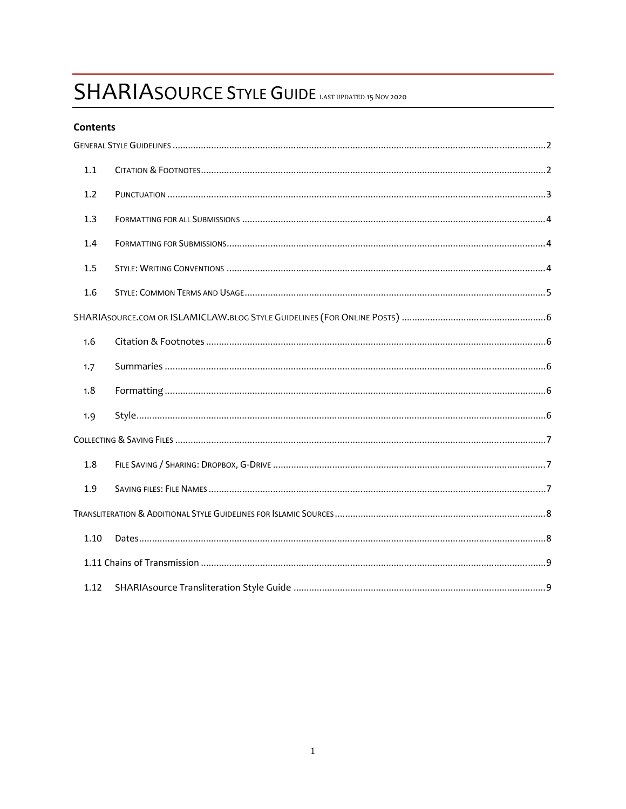# SHARIASOURCE STYLE GUIDE LAST UPDATED 15 NOV 2020

## Contents

| 1.1  |  |
|------|--|
| 1.2  |  |
| 1.3  |  |
| 1.4  |  |
| 1.5  |  |
| 1.6  |  |
|      |  |
| 1.6  |  |
| 1.7  |  |
| 1.8  |  |
| 1.9  |  |
|      |  |
| 1.8  |  |
| 1.9  |  |
|      |  |
| 1.10 |  |
|      |  |
| 1.12 |  |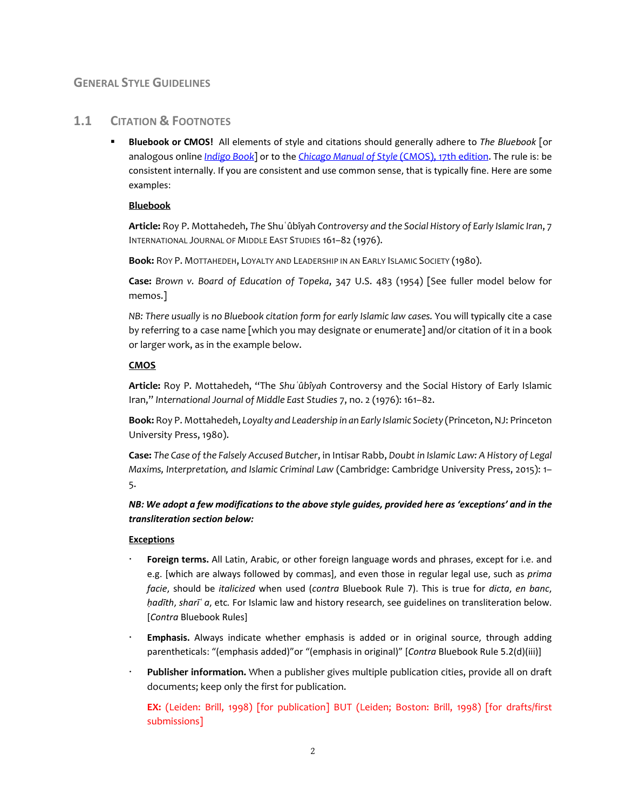# **GENERAL STYLE GUIDELINES**

# **1.1 CITATION & FOOTNOTES**

 **Bluebook or CMOS!** All elements of style and citations should generally adhere to *The Bluebook* [or analogous online *Indigo Book*] or to the *Chicago Manual of Style* (CMOS), 17th edition. The rule is: be consistent internally. If you are consistent and use common sense, that is typically fine. Here are some examples:

## **Bluebook**

**Article:** Roy P. Mottahedeh, *The* Shuʿûbîyah *Controversy and the Social History of Early Islamic Iran*, 7 INTERNATIONAL JOURNAL OF MIDDLE EAST STUDIES 161–82 (1976).

**Book:** ROY P. MOTTAHEDEH, LOYALTY AND LEADERSHIP IN AN EARLY ISLAMIC SOCIETY (1980).

**Case:** *Brown v. Board of Education of Topeka*, 347 U.S. 483 (1954) [See fuller model below for memos.]

*NB: There usually* is *no Bluebook citation form for early Islamic law cases.* You will typically cite a case by referring to a case name [which you may designate or enumerate] and/or citation of it in a book or larger work, as in the example below.

## **CMOS**

**Article:** Roy P. Mottahedeh, "The *Shuʿûbîyah* Controversy and the Social History of Early Islamic Iran," *International Journal of Middle East Studies* 7, no. 2 (1976): 161–82.

**Book:** Roy P. Mottahedeh, *Loyalty and Leadership in an Early Islamic Society* (Princeton,NJ: Princeton University Press, 1980).

**Case:** *The Case of the Falsely Accused Butcher*, in Intisar Rabb, *Doubt in Islamic Law: A History of Legal Maxims, Interpretation, and Islamic Criminal Law* (Cambridge: Cambridge University Press, 2015): 1– 5.

NB: We adopt a few modifications to the above style guides, provided here as 'exceptions' and in the *transliteration section below:*

#### **Exceptions**

- **Foreign terms.** All Latin, Arabic, or other foreign language words and phrases, except for i.e. and e.g. [which are always followed by commas], and even those in regular legal use, such as *prima facie*, should be *italicized* when used (*contra* Bluebook Rule 7). This is true for *dicta*, *en banc*, *ḥadīth*, *sharīʿ a*, etc*.* For Islamic law and history research, see guidelines on transliteration below. [*Contra* Bluebook Rules]
- **Emphasis.** Always indicate whether emphasis is added or in original source, through adding parentheticals: "(emphasis added)"or "(emphasis in original)" [*Contra* Bluebook Rule 5.2(d)(iii)]
- **Publisher information.** When a publisher gives multiple publication cities, provide all on draft documents; keep only the first for publication.

**EX:** (Leiden: Brill, 1998) [for publication] BUT (Leiden; Boston: Brill, 1998) [for drafts/first submissions]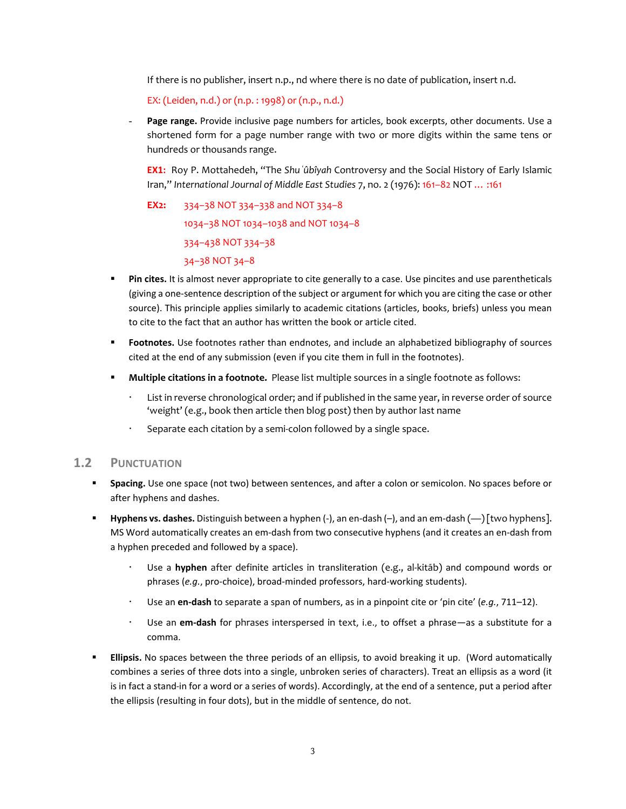If there is no publisher, insert n.p., nd where there is no date of publication, insert n.d.

EX: (Leiden, n.d.) or (n.p. : 1998) or (n.p., n.d.)

Page range. Provide inclusive page numbers for articles, book excerpts, other documents. Use a shortened form for a page number range with two or more digits within the same tens or hundreds or thousands range.

**EX1:** Roy P. Mottahedeh, "The *Shuʿûbîyah* Controversy and the Social History of Early Islamic Iran," *International Journal of Middle East Studies* 7, no. 2 (1976): 161–82 NOT … :161

**EX2:** 334–38 NOT 334–338 and NOT 334–8 1034–38 NOT 1034–1038 and NOT 1034–8 334–438 NOT 334–38 34–38 NOT 34–8

- **Pin cites.** It is almost never appropriate to cite generally to a case. Use pincites and use parentheticals (giving a one‐sentence description of the subject or argument for which you are citing the case or other source). This principle applies similarly to academic citations (articles, books, briefs) unless you mean to cite to the fact that an author has written the book or article cited.
- **Footnotes.** Use footnotes rather than endnotes, and include an alphabetized bibliography of sources cited at the end of any submission (even if you cite them in full in the footnotes).
- **Multiple citations in a footnote.** Please list multiple sources in a single footnote as follows:
	- List in reverse chronological order; and if published in the same year, in reverse order of source 'weight' (e.g., book then article then blog post) then by author last name
	- Separate each citation by a semi‐colon followed by a single space.

## **1.2 PUNCTUATION**

- **Spacing.** Use one space (not two) between sentences, and after a colon or semicolon. No spaces before or after hyphens and dashes.
- **Hyphens vs. dashes.** Distinguish between a hyphen (‐), an en‐dash (–), and an em‐dash (—) [two hyphens]. MS Word automatically creates an em‐dash from two consecutive hyphens (and it creates an en‐dash from a hyphen preceded and followed by a space).
	- Use a **hyphen** after definite articles in transliteration (e.g., al‐kitāb) and compound words or phrases (*e.g.*, pro‐choice), broad‐minded professors, hard‐working students).
	- Use an **en‐dash** to separate a span of numbers, as in a pinpoint cite or 'pin cite' (*e.g.*, 711–12).
	- Use an **em‐dash** for phrases interspersed in text, i.e., to offset a phrase—as a substitute for a comma.
- **Ellipsis.** No spaces between the three periods of an ellipsis, to avoid breaking it up. (Word automatically combines a series of three dots into a single, unbroken series of characters). Treat an ellipsis as a word (it is in fact a stand-in for a word or a series of words). Accordingly, at the end of a sentence, put a period after the ellipsis (resulting in four dots), but in the middle of sentence, do not.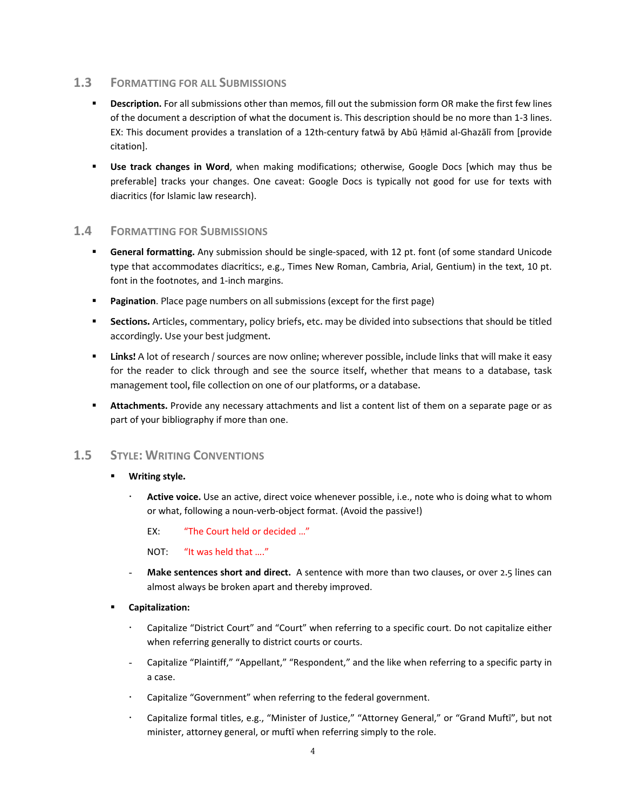## **1.3 FORMATTING FOR ALL SUBMISSIONS**

- **Description.** For all submissions other than memos, fill out the submission form OR make the first few lines of the document a description of what the document is. This description should be no more than 1‐3 lines. EX: This document provides a translation of a 12th‐century fatwā by Abū Ḥāmid al‐Ghazālī from [provide citation].
- **Use track changes in Word**, when making modifications; otherwise, Google Docs [which may thus be preferable] tracks your changes. One caveat: Google Docs is typically not good for use for texts with diacritics (for Islamic law research).

# **1.4 FORMATTING FOR SUBMISSIONS**

- **General formatting.** Any submission should be single-spaced, with 12 pt. font (of some standard Unicode type that accommodates diacritics:, e.g., Times New Roman, Cambria, Arial, Gentium) in the text, 10 pt. font in the footnotes, and 1-inch margins.
- **Pagination**. Place page numbers on all submissions (except for the first page)
- **Sections.** Articles, commentary, policy briefs, etc. may be divided into subsections that should be titled accordingly. Use your best judgment.
- **Links!** A lot of research / sources are now online; wherever possible, include links that will make it easy for the reader to click through and see the source itself, whether that means to a database, task management tool, file collection on one of our platforms, or a database.
- **Attachments.** Provide any necessary attachments and list a content list of them on a separate page or as part of your bibliography if more than one.

## **1.5 STYLE: WRITING CONVENTIONS**

#### **Writing style.**

 **Active voice.** Use an active, direct voice whenever possible, i.e., note who is doing what to whom or what, following a noun‐verb‐object format. (Avoid the passive!)

EX: "The Court held or decided …"

NOT: "It was held that …."

- **Make sentences short and direct.** A sentence with more than two clauses, or over 2.5 lines can almost always be broken apart and thereby improved.
- **Capitalization:**
	- Capitalize "District Court" and "Court" when referring to a specific court. Do not capitalize either when referring generally to district courts or courts.
	- Capitalize "Plaintiff," "Appellant," "Respondent," and the like when referring to a specific party in a case.
	- Capitalize "Government" when referring to the federal government.
	- Capitalize formal titles, e.g., "Minister of Justice," "Attorney General," or "Grand Muftī", but not minister, attorney general, or muftī when referring simply to the role.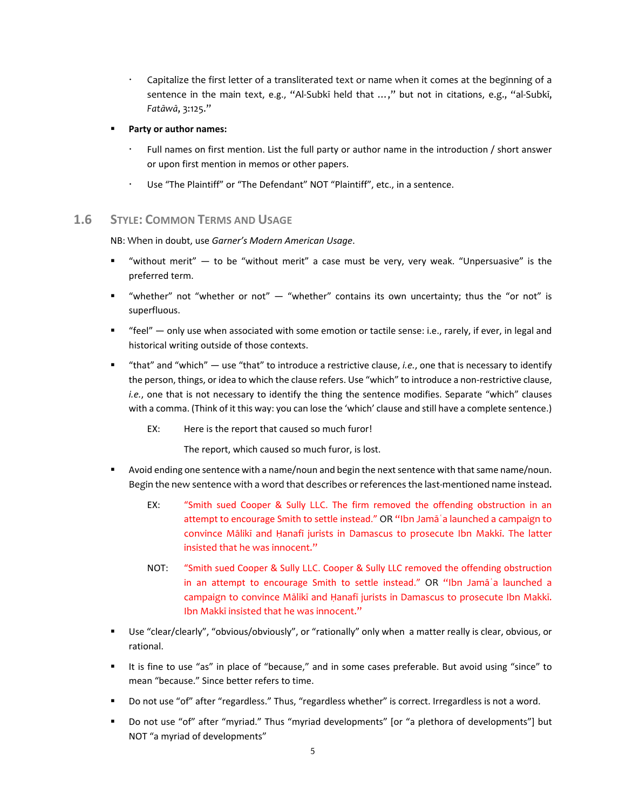- Capitalize the first letter of a transliterated text or name when it comes at the beginning of a sentence in the main text, e.g., "Al-Subkī held that ...," but not in citations, e.g., "al-Subkī, *Fatāwā*, 3:125."
- **Party or author names:**
	- Full names on first mention. List the full party or author name in the introduction / short answer or upon first mention in memos or other papers.
	- Use "The Plaintiff" or "The Defendant" NOT "Plaintiff", etc., in a sentence.

## **1.6 STYLE: COMMON TERMS AND USAGE**

NB: When in doubt, use *Garner's Modern American Usage*.

- " "without merit"  $-$  to be "without merit" a case must be very, very weak. "Unpersuasive" is the preferred term.
- "whether" not "whether or not" "whether" contains its own uncertainty; thus the "or not" is superfluous.
- " "feel" only use when associated with some emotion or tactile sense: i.e., rarely, if ever, in legal and historical writing outside of those contexts.
- "that" and "which" use "that" to introduce a restrictive clause, *i.e.*, one that is necessary to identify the person, things, or idea to which the clause refers. Use "which" to introduce a non-restrictive clause, *i.e.*, one that is not necessary to identify the thing the sentence modifies. Separate "which" clauses with a comma. (Think of it this way: you can lose the 'which' clause and still have a complete sentence.)
	- EX: Here is the report that caused so much furor!

The report, which caused so much furor, is lost.

- " Avoid ending one sentence with a name/noun and begin the next sentence with that same name/noun. Begin the new sentence with a word that describes or references the last-mentioned name instead.
	- EX: "Smith sued Cooper & Sully LLC. The firm removed the offending obstruction in an attempt to encourage Smith to settle instead." OR "Ibn Jamāʿa launched a campaign to convince Mālikī and Ḥanafī jurists in Damascus to prosecute Ibn Makkī. The latter insisted that he was innocent."
	- NOT: "Smith sued Cooper & Sully LLC. Cooper & Sully LLC removed the offending obstruction in an attempt to encourage Smith to settle instead." OR "Ibn Jamāʿa launched a campaign to convince Mālikī and Ḥanafī jurists in Damascus to prosecute Ibn Makkī. Ibn Makkī insisted that he was innocent."
- Use "clear/clearly", "obvious/obviously", or "rationally" only when a matter really is clear, obvious, or rational.
- "It is fine to use "as" in place of "because," and in some cases preferable. But avoid using "since" to mean "because." Since better refers to time.
- Do not use "of" after "regardless." Thus, "regardless whether" is correct. Irregardless is not a word.
- Do not use "of" after "myriad." Thus "myriad developments" [or "a plethora of developments"] but NOT "a myriad of developments"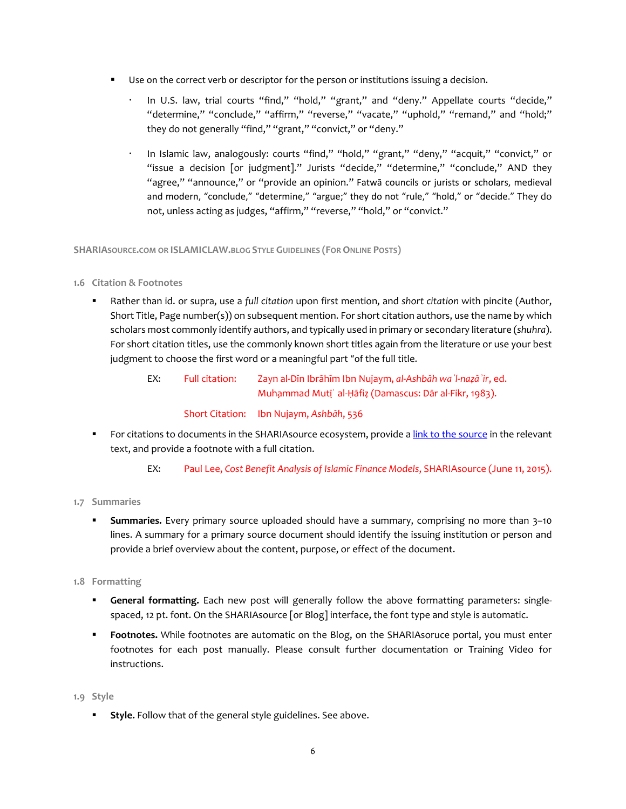- Use on the correct verb or descriptor for the person or institutions issuing a decision.
	- In U.S. law, trial courts "find," "hold," "grant," and "deny." Appellate courts "decide," "determine," "conclude," "affirm," "reverse," "vacate," "uphold," "remand," and "hold;" they do not generally "find," "grant," "convict," or "deny."
	- In Islamic law, analogously: courts "find," "hold," "grant," "deny," "acquit," "convict," or "issue a decision [or judgment]." Jurists "decide," "determine," "conclude," AND they "agree," "announce," or "provide an opinion." Fatwā councils or jurists or scholars, medieval and modern, "conclude," "determine," "argue;" they do not "rule," "hold," or "decide." They do not, unless acting as judges, "affirm," "reverse," "hold," or "convict."

**SHARIASOURCE.COM OR ISLAMICLAW.BLOG STYLE GUIDELINES (FORONLINE POSTS)**

#### **1.6 Citation & Footnotes**

 Rather than id. or supra, use a *full citation* upon first mention, and *short citation* with pincite (Author, Short Title, Page number(s)) on subsequent mention. For short citation authors, use the name by which scholars most commonly identify authors, and typically used in primary or secondary literature (*shuhra*). For short citation titles, use the commonly known short titles again from the literature or use your best judgment to choose the first word or a meaningful part "of the full title.

> EX: Full citation: Zayn al‐Dīn Ibrāhīm Ibn Nujaym, *al‐Ashbāh waʾl‐naẓāʾir*, ed. Muhammad Mutīʿ al-Ḥāfiẓ (Damascus: Dār al-Fikr, 1983). Short Citation: Ibn Nujaym, *Ashbāh*, 536

- For citations to documents in the SHARIAsource ecosystem, provide a link to the source in the relevant text, and provide a footnote with a full citation.
	- EX: Paul Lee, *Cost Benefit Analysis of Islamic Finance Models*, SHARIAsource (June 11, 2015).

#### **1.7 Summaries**

- **Summaries.** Every primary source uploaded should have a summary, comprising no more than 3–10 lines. A summary for a primary source document should identify the issuing institution or person and provide a brief overview about the content, purpose, or effect of the document.
- **1.8 Formatting**
	- **General formatting.** Each new post will generally follow the above formatting parameters: singlespaced, 12 pt. font. On the SHARIAsource [or Blog] interface, the font type and style is automatic.
	- **Footnotes.** While footnotes are automatic on the Blog, on the SHARIAsoruce portal, you must enter footnotes for each post manually. Please consult further documentation or Training Video for instructions.

#### **1.9 Style**

**Style.** Follow that of the general style guidelines. See above.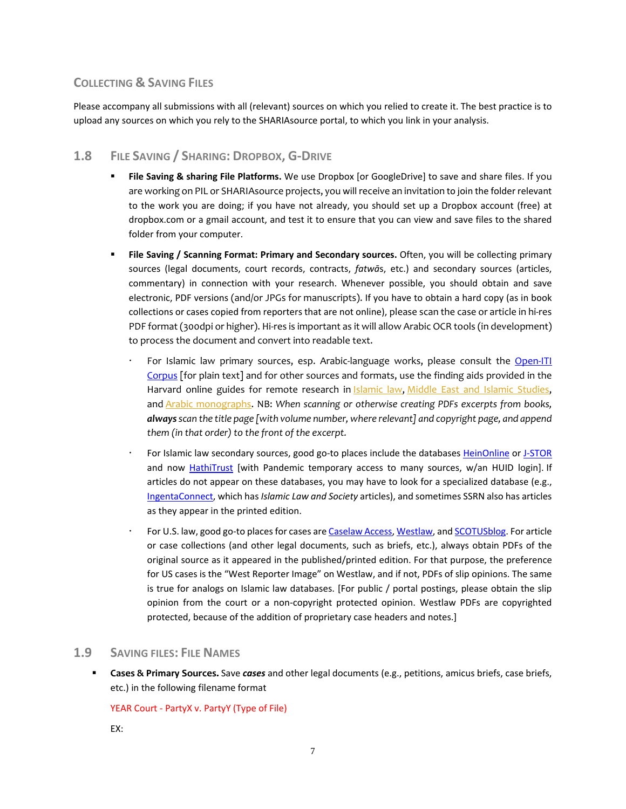# **COLLECTING & SAVING FILES**

Please accompany all submissions with all (relevant) sources on which you relied to create it. The best practice is to upload any sources on which you rely to the SHARIAsource portal, to which you link in your analysis.

# **1.8 FILE SAVING / SHARING: DROPBOX, G‐DRIVE**

- **File Saving & sharing File Platforms.** We use Dropbox [or GoogleDrive] to save and share files. If you are working on PIL or SHARIAsource projects, you will receive an invitation to join the folder relevant to the work you are doing; if you have not already, you should set up a Dropbox account (free) at dropbox.com or a gmail account, and test it to ensure that you can view and save files to the shared folder from your computer.
- **File Saving / Scanning Format: Primary and Secondary sources.** Often, you will be collecting primary sources (legal documents, court records, contracts, *fatwā*s, etc.) and secondary sources (articles, commentary) in connection with your research. Whenever possible, you should obtain and save electronic, PDF versions (and/or JPGs for manuscripts). If you have to obtain a hard copy (as in book collections or cases copied from reporters that are not online), please scan the case or article in hi‐res PDF format (300dpi or higher). Hi‐res is important as it will allow Arabic OCR tools (in development) to process the document and convert into readable text.
	- For Islamic law primary sources, esp. Arabic-language works, please consult the Open-ITI Corpus [for plain text] and for other sources and formats, use the finding aids provided in the Harvard online guides for remote research in Islamic law, Middle East and Islamic Studies, and Arabic monographs. NB: *When scanning or otherwise creating PDFs excerpts from books, alwaysscan the title page [with volume number, where relevant] and copyright page, and append them (in that order) to the front of the excerpt.*
	- For Islamic law secondary sources, good go-to places include the databases HeinOnline or J-STOR and now HathiTrust [with Pandemic temporary access to many sources, w/an HUID login]. If articles do not appear on these databases, you may have to look for a specialized database (e.g., IngentaConnect, which has *Islamic Law and Society* articles), and sometimes SSRN also has articles as they appear in the printed edition.
	- For U.S. law, good go-to places for cases are Caselaw Access, Westlaw, and SCOTUSblog. For article or case collections (and other legal documents, such as briefs, etc.), always obtain PDFs of the original source as it appeared in the published/printed edition. For that purpose, the preference for US cases is the "West Reporter Image" on Westlaw, and if not, PDFs of slip opinions. The same is true for analogs on Islamic law databases. [For public / portal postings, please obtain the slip opinion from the court or a non‐copyright protected opinion. Westlaw PDFs are copyrighted protected, because of the addition of proprietary case headers and notes.]

## **1.9 SAVING FILES: FILE NAMES**

 **Cases & Primary Sources.** Save *cases* and other legal documents (e.g., petitions, amicus briefs, case briefs, etc.) in the following filename format

#### YEAR Court - PartyX v. PartyY (Type of File)

EX: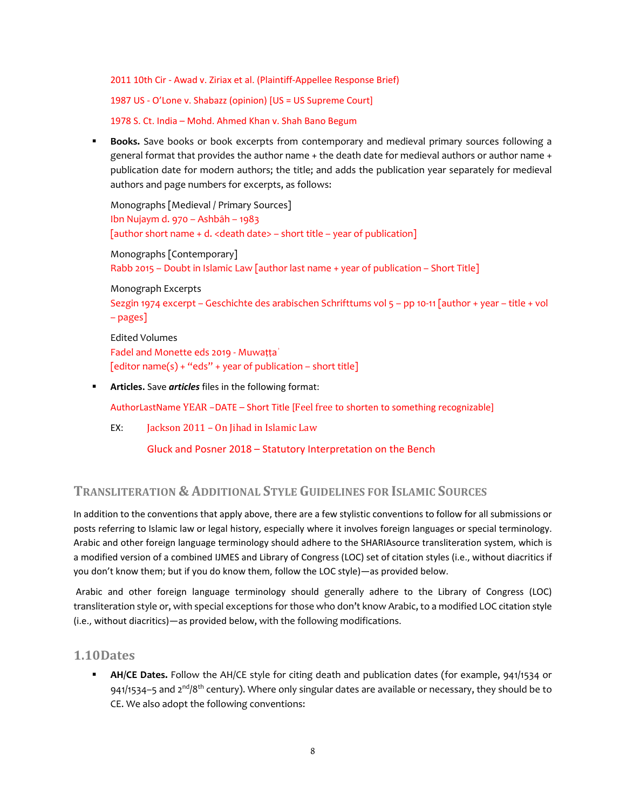2011 10th Cir ‐ Awad v. Ziriax et al. (Plaintiff‐Appellee Response Brief)

1987 US ‐ O'Lone v. Shabazz (opinion) [US = US Supreme Court]

1978 S. Ct. India – Mohd. Ahmed Khan v. Shah Bano Begum

 **Books.** Save books or book excerpts from contemporary and medieval primary sources following a general format that provides the author name + the death date for medieval authors or author name + publication date for modern authors; the title; and adds the publication year separately for medieval authors and page numbers for excerpts, as follows:

Monographs [Medieval / Primary Sources] Ibn Nujaym d. 970 – Ashbāh – 1983 [author short name + d. <death date> – short title – year of publication] Monographs [Contemporary] Rabb 2015 – Doubt in Islamic Law [author last name + year of publication – Short Title]

Monograph Excerpts Sezgin 1974 excerpt – Geschichte des arabischen Schrifttums vol 5 – pp 10‐11 [author + year – title + vol – pages]

Edited Volumes Fadel and Monette eds 2019 ‐ Muwaṭṭaʾ  $[$ editor name $(s)$  + "eds" + year of publication – short title $]$ 

**Articles.** Save *articles* files in the following format:

AuthorLastName YEAR –DATE – Short Title [Feel free to shorten to something recognizable]

EX: Jackson 2011 – On Jihad in Islamic Law

Gluck and Posner 2018 – Statutory Interpretation on the Bench

# **TRANSLITERATION & ADDITIONAL STYLE GUIDELINES FOR ISLAMIC SOURCES**

In addition to the conventions that apply above, there are a few stylistic conventions to follow for all submissions or posts referring to Islamic law or legal history, especially where it involves foreign languages or special terminology. Arabic and other foreign language terminology should adhere to the SHARIAsource transliteration system, which is a modified version of a combined IJMES and Library of Congress (LOC) set of citation styles (i.e., without diacritics if you don't know them; but if you do know them, follow the LOC style)—as provided below.

Arabic and other foreign language terminology should generally adhere to the Library of Congress (LOC) transliteration style or, with special exceptions for those who don't know Arabic, to a modified LOC citation style (i.e., without diacritics)—as provided below, with the following modifications.

# **1.10Dates**

 **AH/CE Dates.** Follow the AH/CE style for citing death and publication dates (for example, 941/1534 or 941/1534–5 and  $2^{nd}/8^{th}$  century). Where only singular dates are available or necessary, they should be to CE. We also adopt the following conventions: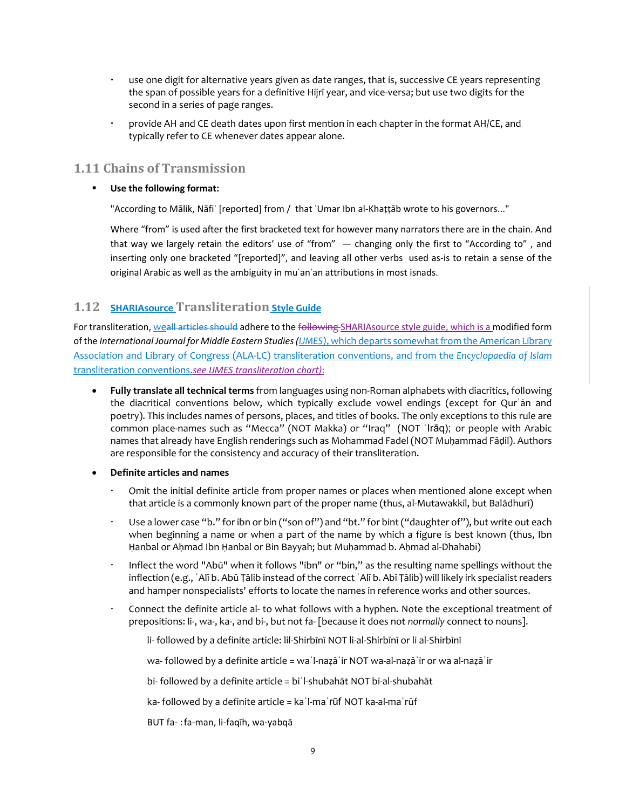- use one digit for alternative years given as date ranges, that is, successive CE years representing the span of possible years for a definitive Hijrī year, and vice‐versa; but use two digits for the second in a series of page ranges.
- provide AH and CE death dates upon first mention in each chapter in the format AH/CE, and typically refer to CE whenever dates appear alone.

# **1.11 Chains of Transmission**

## **Use the following format:**

"According to Mālik, Nāfiʿ [reported] from / that ʿUmar Ibn al‐Khaṭṭāb wrote to his governors..."

Where "from" is used after the first bracketed text for however many narrators there are in the chain. And that way we largely retain the editors' use of "from"  $-$  changing only the first to "According to", and inserting only one bracketed "[reported]", and leaving all other verbs used as‐is to retain a sense of the original Arabic as well as the ambiguity in muʿanʿan attributions in most isnads.

# **1.12 SHARIAsource Transliteration Style Guide**

For transliteration, weall articles should adhere to the following SHARIAsource style guide, which is a modified form of the *International Journal for Middle Eastern Studies(IJMES)*, which departs somewhatfrom the American Library Association and Library of Congress (ALA‐LC) transliteration conventions, and from the *Encyclopaedia of Islam* transliteration conventions.*see IJMES transliteration chart)*:

- **Fully translate all technical terms** from languages using non‐Roman alphabets with diacritics, following the diacritical conventions below, which typically exclude vowel endings (except for Qurʾān and poetry). This includes names of persons, places, and titles of books. The only exceptions to this rule are common place‐names such as "Mecca" (NOT Makka) or "Iraq" (NOT ʿIrāq); or people with Arabic names that already have English renderings such as Mohammad Fadel (NOT Muḥammad Fāḍil). Authors are responsible for the consistency and accuracy of their transliteration.
- **Definite articles and names**
	- Omit the initial definite article from proper names or places when mentioned alone except when that article is a commonly known part of the proper name (thus, al‐Mutawakkil, but Balādhurī)
	- Use a lower case "b." for ibn or bin ("son of") and "bt." for bint ("daughter of"), but write out each when beginning a name or when a part of the name by which a figure is best known (thus, Ibn Hanbal or Ahmad Ibn Hanbal or Bin Bayyah; but Muhammad b. Ahmad al-Dhahabī)
	- Inflect the word "Abū" when it follows "ibn" or "bin," as the resulting name spellings without the inflection (e.g., ʿAlī b. Abū Ṭālib instead of the correct ʿAlī b. Abī Ṭālib) will likely irk specialistreaders and hamper nonspecialists' efforts to locate the names in reference works and other sources.
	- Connect the definite article al‐ to what follows with a hyphen. Note the exceptional treatment of prepositions: li-, wa-, ka-, and bi-, but not fa- [because it does not *normally* connect to nouns].
		- li‐ followed by a definite article: lil‐Shirbīnī NOT li‐al‐Shirbīnī or li al‐Shirbīnī
		- wa‐ followed by a definite article = waʾl‐naẓāʾir NOT wa‐al‐naẓāʾir or wa al‐naẓāʾir
		- bi‐ followed by a definite article = biʾl‐shubahāt NOT bi‐al‐shubahāt
		- ka- followed by a definite article = ka<sup>'</sup>l-ma`rūf NOT ka-al-ma`rūf
		- BUT fa‐ :fa‐man, li‐faqīh, wa‐yabqā